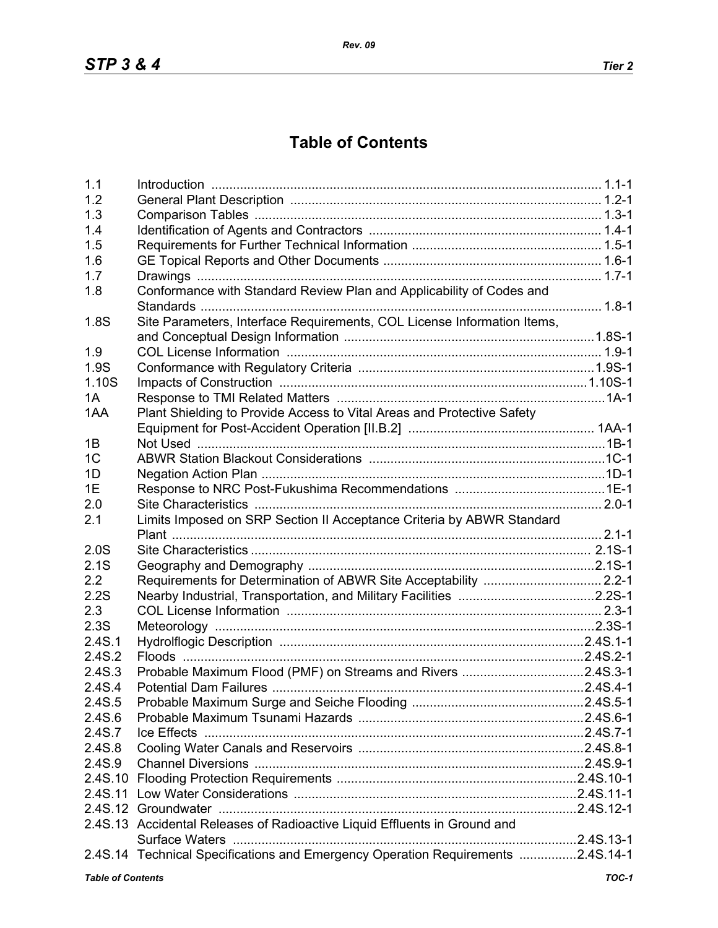## **Table of Contents**

| 1.1                      |                                                                                 |         |
|--------------------------|---------------------------------------------------------------------------------|---------|
| 1.2                      |                                                                                 |         |
| 1.3                      |                                                                                 |         |
| 1.4                      |                                                                                 |         |
| 1.5                      |                                                                                 |         |
| 1.6                      |                                                                                 |         |
| 1.7                      |                                                                                 |         |
| 1.8                      | Conformance with Standard Review Plan and Applicability of Codes and            |         |
|                          |                                                                                 |         |
| 1.8S                     | Site Parameters, Interface Requirements, COL License Information Items,         |         |
|                          |                                                                                 |         |
| 1.9                      |                                                                                 |         |
| 1.9S                     |                                                                                 |         |
| 1.10S                    |                                                                                 |         |
| 1A                       |                                                                                 |         |
| 1AA                      | Plant Shielding to Provide Access to Vital Areas and Protective Safety          |         |
|                          |                                                                                 |         |
| 1B                       |                                                                                 |         |
| 1 <sup>C</sup>           |                                                                                 |         |
| 1D                       |                                                                                 |         |
| 1E                       |                                                                                 |         |
| 2.0                      |                                                                                 |         |
| 2.1                      | Limits Imposed on SRP Section II Acceptance Criteria by ABWR Standard           |         |
|                          |                                                                                 |         |
| 2.0S                     |                                                                                 |         |
| 2.1S                     |                                                                                 |         |
| 2.2                      |                                                                                 |         |
| 2.2S                     |                                                                                 |         |
| 2.3                      |                                                                                 |         |
| 2.3S                     |                                                                                 |         |
| 2.4S.1                   |                                                                                 |         |
| 2.4S.2                   |                                                                                 |         |
| 2.4S.3                   | Probable Maximum Flood (PMF) on Streams and Rivers 2.4S.3-1                     |         |
| 2.4S.4                   |                                                                                 |         |
| 2.4S.5                   |                                                                                 |         |
| 2.4S.6                   |                                                                                 |         |
| 2.4S.7                   |                                                                                 |         |
| 2.4S.8                   |                                                                                 |         |
| 2.4S.9                   |                                                                                 |         |
|                          |                                                                                 |         |
|                          |                                                                                 |         |
|                          |                                                                                 |         |
|                          | 2.4S.13 Accidental Releases of Radioactive Liquid Effluents in Ground and       |         |
|                          |                                                                                 |         |
|                          | 2.4S.14 Technical Specifications and Emergency Operation Requirements 2.4S.14-1 |         |
| <b>Table of Contents</b> |                                                                                 | $TOC-1$ |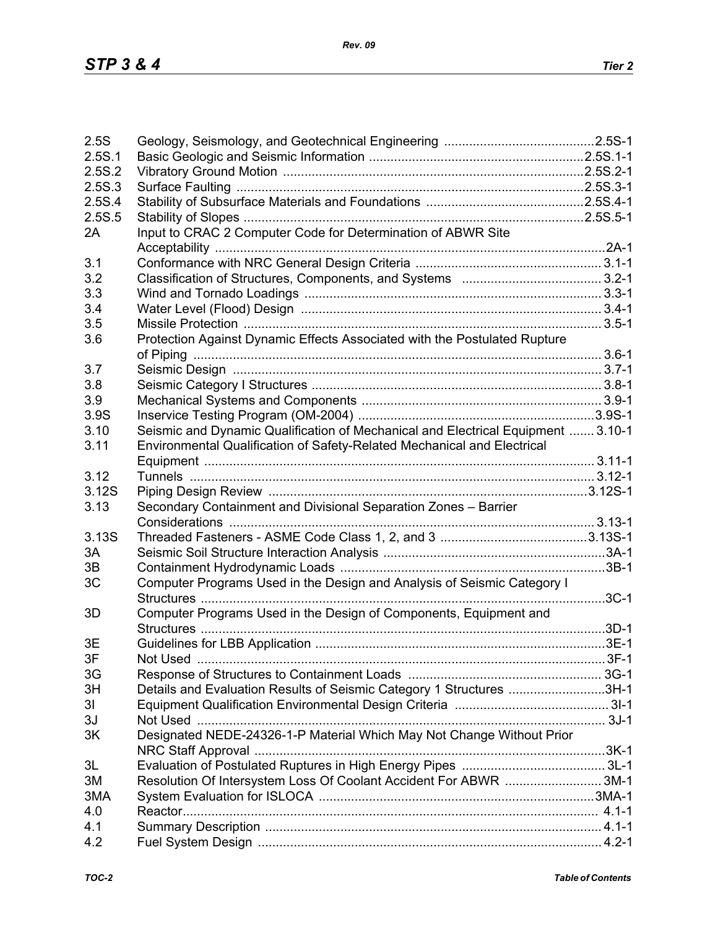| 2.5S           |                                                                                  |  |
|----------------|----------------------------------------------------------------------------------|--|
| 2.5S.1         |                                                                                  |  |
| 2.5S.2         |                                                                                  |  |
| 2.5S.3         |                                                                                  |  |
| 2.5S.4         |                                                                                  |  |
| 2.5S.5         |                                                                                  |  |
| 2A             | Input to CRAC 2 Computer Code for Determination of ABWR Site                     |  |
|                |                                                                                  |  |
| 3.1            |                                                                                  |  |
| 3.2            |                                                                                  |  |
| 3.3            |                                                                                  |  |
| 3.4            |                                                                                  |  |
| 3.5            |                                                                                  |  |
| 3.6            | Protection Against Dynamic Effects Associated with the Postulated Rupture        |  |
|                |                                                                                  |  |
| 3.7            |                                                                                  |  |
| 3.8            |                                                                                  |  |
| 3.9            |                                                                                  |  |
| 3.9S           |                                                                                  |  |
| 3.10           | Seismic and Dynamic Qualification of Mechanical and Electrical Equipment  3.10-1 |  |
| 3.11           | Environmental Qualification of Safety-Related Mechanical and Electrical          |  |
|                |                                                                                  |  |
| 3.12           |                                                                                  |  |
| 3.12S          |                                                                                  |  |
| 3.13           |                                                                                  |  |
|                | Secondary Containment and Divisional Separation Zones - Barrier                  |  |
| 3.13S          |                                                                                  |  |
|                |                                                                                  |  |
| 3A             |                                                                                  |  |
| 3B             |                                                                                  |  |
| 3C             | Computer Programs Used in the Design and Analysis of Seismic Category I          |  |
|                |                                                                                  |  |
| 3D             | Computer Programs Used in the Design of Components, Equipment and                |  |
|                |                                                                                  |  |
| 3E             |                                                                                  |  |
| 3F             |                                                                                  |  |
| 3G             |                                                                                  |  |
| 3H             | Details and Evaluation Results of Seismic Category 1 Structures 3H-1             |  |
| 3 <sub>l</sub> |                                                                                  |  |
| 3J             |                                                                                  |  |
| 3K             | Designated NEDE-24326-1-P Material Which May Not Change Without Prior            |  |
| 3L             |                                                                                  |  |
| 3M             | Resolution Of Intersystem Loss Of Coolant Accident For ABWR 3M-1                 |  |
| 3MA            |                                                                                  |  |
| 4.0            |                                                                                  |  |
| 4.1            |                                                                                  |  |
| 4.2            |                                                                                  |  |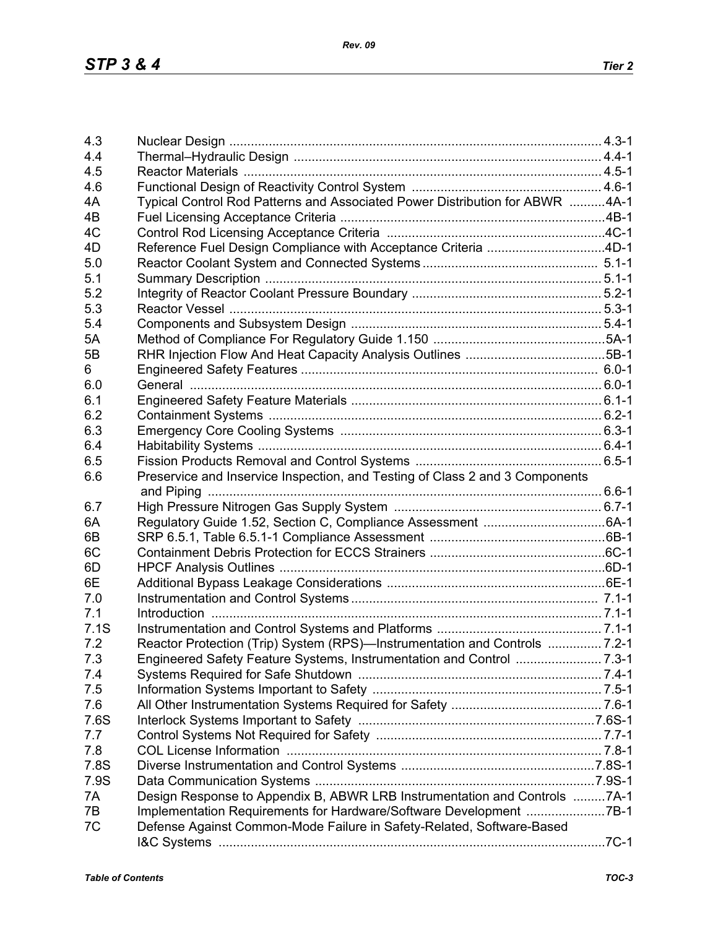| 4.3      |                                                                              |  |
|----------|------------------------------------------------------------------------------|--|
| 4.4      |                                                                              |  |
| 4.5      |                                                                              |  |
| 4.6      |                                                                              |  |
| 4A       | Typical Control Rod Patterns and Associated Power Distribution for ABWR 4A-1 |  |
| 4B       |                                                                              |  |
| 4C       |                                                                              |  |
| 4D       | Reference Fuel Design Compliance with Acceptance Criteria 4D-1               |  |
| 5.0      |                                                                              |  |
| 5.1      |                                                                              |  |
| 5.2      |                                                                              |  |
| 5.3      |                                                                              |  |
| 5.4      |                                                                              |  |
| 5A       |                                                                              |  |
| 5B       |                                                                              |  |
| 6        |                                                                              |  |
| 6.0      |                                                                              |  |
| 6.1      |                                                                              |  |
| 6.2      |                                                                              |  |
| 6.3      |                                                                              |  |
| 6.4      |                                                                              |  |
| 6.5      |                                                                              |  |
| 6.6      | Preservice and Inservice Inspection, and Testing of Class 2 and 3 Components |  |
|          |                                                                              |  |
| 6.7      |                                                                              |  |
| 6A       |                                                                              |  |
|          |                                                                              |  |
| 6B       |                                                                              |  |
| 6C<br>6D |                                                                              |  |
|          |                                                                              |  |
| 6E       |                                                                              |  |
| 7.0      |                                                                              |  |
| 7.1      |                                                                              |  |
| 7.1S     |                                                                              |  |
| 7.2      | Reactor Protection (Trip) System (RPS)—Instrumentation and Controls  7.2-1   |  |
| 7.3      |                                                                              |  |
| 7.4      |                                                                              |  |
| 7.5      |                                                                              |  |
| 7.6      |                                                                              |  |
| 7.6S     |                                                                              |  |
| 7.7      |                                                                              |  |
| 7.8      |                                                                              |  |
| 7.8S     |                                                                              |  |
| 7.9S     |                                                                              |  |
| 7A       | Design Response to Appendix B, ABWR LRB Instrumentation and Controls 7A-1    |  |
| 7B       | Implementation Requirements for Hardware/Software Development 7B-1           |  |
| 7C       | Defense Against Common-Mode Failure in Safety-Related, Software-Based        |  |
|          |                                                                              |  |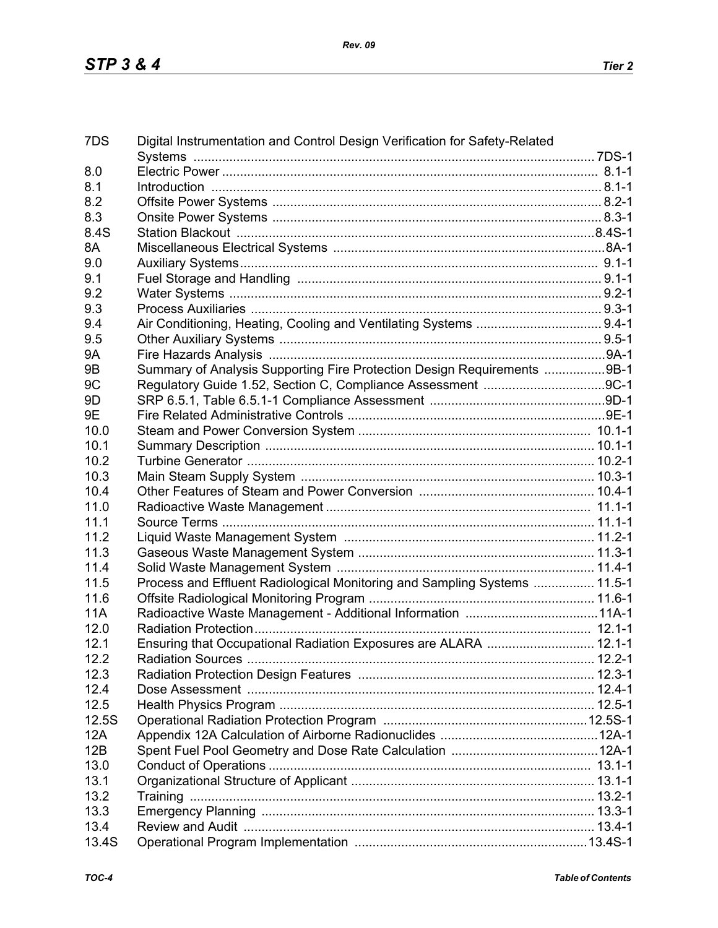| 7DS        | Digital Instrumentation and Control Design Verification for Safety-Related                           |  |
|------------|------------------------------------------------------------------------------------------------------|--|
|            |                                                                                                      |  |
| 8.0        |                                                                                                      |  |
| 8.1        | 1-1-1. B.1-1. B.1-1. B.1-1. B.1-1. B.1-1. B.1-1. B.1-1. B.1-1. B.1-1. B.1-1. B.1-1. B.1-1. B.1-1. B. |  |
| 8.2        |                                                                                                      |  |
| 8.3        |                                                                                                      |  |
| 8.4S       |                                                                                                      |  |
| 8A         |                                                                                                      |  |
| 9.0        |                                                                                                      |  |
| 9.1        |                                                                                                      |  |
| 9.2        |                                                                                                      |  |
| 9.3        |                                                                                                      |  |
| 9.4        |                                                                                                      |  |
| 9.5        |                                                                                                      |  |
| <b>9A</b>  |                                                                                                      |  |
| 9B         | Summary of Analysis Supporting Fire Protection Design Requirements 9B-1                              |  |
| 9C         |                                                                                                      |  |
| 9D         |                                                                                                      |  |
| 9E         |                                                                                                      |  |
| 10.0       |                                                                                                      |  |
| 10.1       |                                                                                                      |  |
| 10.2       |                                                                                                      |  |
| 10.3       |                                                                                                      |  |
| 10.4       |                                                                                                      |  |
| 11.0       |                                                                                                      |  |
| 11.1       |                                                                                                      |  |
| 11.2       |                                                                                                      |  |
| 11.3       |                                                                                                      |  |
| 11.4       |                                                                                                      |  |
| 11.5       | Process and Effluent Radiological Monitoring and Sampling Systems  11.5-1                            |  |
| 11.6       |                                                                                                      |  |
| <b>11A</b> |                                                                                                      |  |
| 12.0       |                                                                                                      |  |
| 12.1       | Ensuring that Occupational Radiation Exposures are ALARA  12.1-1                                     |  |
| 12.2       |                                                                                                      |  |
| 12.3       |                                                                                                      |  |
| 12.4       |                                                                                                      |  |
| 12.5       |                                                                                                      |  |
| 12.5S      |                                                                                                      |  |
| 12A        |                                                                                                      |  |
| 12B        |                                                                                                      |  |
| 13.0       |                                                                                                      |  |
| 13.1       |                                                                                                      |  |
| 13.2       |                                                                                                      |  |
| 13.3       |                                                                                                      |  |
| 13.4       |                                                                                                      |  |
| 13.4S      |                                                                                                      |  |
|            |                                                                                                      |  |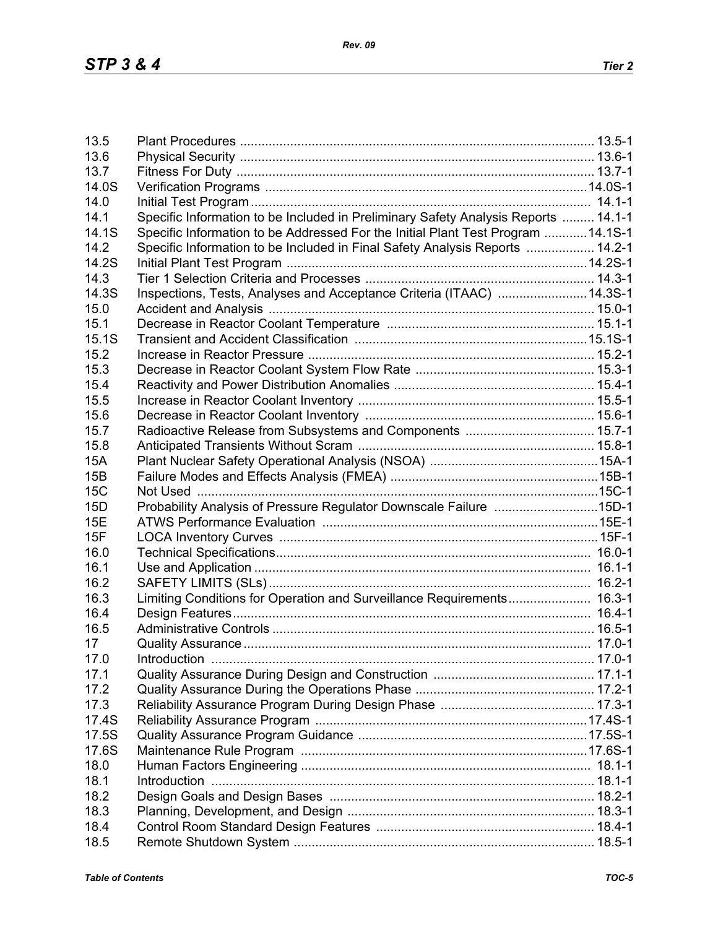| 13.5       |                                                                                    |  |
|------------|------------------------------------------------------------------------------------|--|
| 13.6       |                                                                                    |  |
| 13.7       |                                                                                    |  |
| 14.0S      |                                                                                    |  |
| 14.0       |                                                                                    |  |
| 14.1       | Specific Information to be Included in Preliminary Safety Analysis Reports  14.1-1 |  |
| 14.1S      | Specific Information to be Addressed For the Initial Plant Test Program  14.1S-1   |  |
| 14.2       | Specific Information to be Included in Final Safety Analysis Reports  14.2-1       |  |
| 14.2S      |                                                                                    |  |
| 14.3       |                                                                                    |  |
| 14.3S      | Inspections, Tests, Analyses and Acceptance Criteria (ITAAC) 14.3S-1               |  |
| 15.0       |                                                                                    |  |
| 15.1       |                                                                                    |  |
| 15.1S      |                                                                                    |  |
| 15.2       |                                                                                    |  |
| 15.3       |                                                                                    |  |
| 15.4       |                                                                                    |  |
| 15.5       |                                                                                    |  |
| 15.6       |                                                                                    |  |
| 15.7       |                                                                                    |  |
| 15.8       |                                                                                    |  |
| <b>15A</b> |                                                                                    |  |
| 15B        |                                                                                    |  |
| 15C        |                                                                                    |  |
| 15D        | Probability Analysis of Pressure Regulator Downscale Failure 15D-1                 |  |
| <b>15E</b> |                                                                                    |  |
| 15F        |                                                                                    |  |
| 16.0       |                                                                                    |  |
| 16.1       |                                                                                    |  |
| 16.2       |                                                                                    |  |
| 16.3       | Limiting Conditions for Operation and Surveillance Requirements 16.3-1             |  |
| 16.4       |                                                                                    |  |
| 16.5       |                                                                                    |  |
| 17         |                                                                                    |  |
| 17.0       |                                                                                    |  |
| 17.1       |                                                                                    |  |
| 17.2       |                                                                                    |  |
| 17.3       |                                                                                    |  |
| 17.4S      |                                                                                    |  |
| 17.5S      |                                                                                    |  |
| 17.6S      |                                                                                    |  |
| 18.0       |                                                                                    |  |
| 18.1       |                                                                                    |  |
| 18.2       |                                                                                    |  |
| 18.3       |                                                                                    |  |
| 18.4       |                                                                                    |  |
| 18.5       |                                                                                    |  |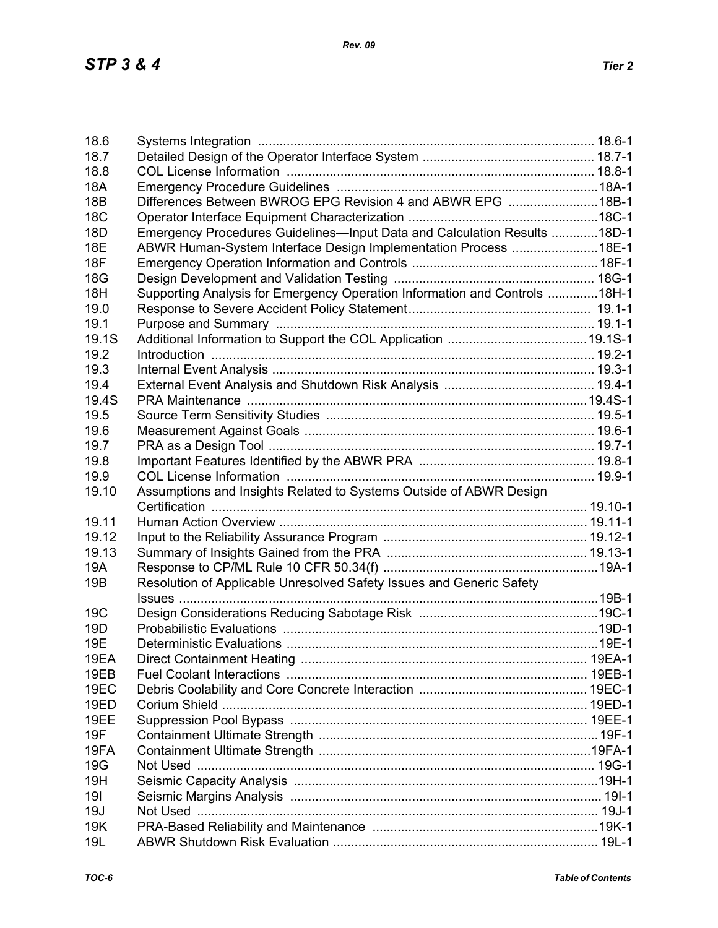| 18.6            |                                                                            |  |
|-----------------|----------------------------------------------------------------------------|--|
| 18.7            |                                                                            |  |
| 18.8            |                                                                            |  |
| <b>18A</b>      |                                                                            |  |
| <b>18B</b>      | Differences Between BWROG EPG Revision 4 and ABWR EPG 18B-1                |  |
| 18 <sub>C</sub> |                                                                            |  |
| 18 <sub>D</sub> | Emergency Procedures Guidelines-Input Data and Calculation Results 18D-1   |  |
| <b>18E</b>      |                                                                            |  |
|                 | ABWR Human-System Interface Design Implementation Process 18E-1            |  |
| <b>18F</b>      |                                                                            |  |
| 18G             |                                                                            |  |
| 18H             | Supporting Analysis for Emergency Operation Information and Controls 18H-1 |  |
| 19.0            |                                                                            |  |
| 19.1            |                                                                            |  |
| 19.1S           |                                                                            |  |
| 19.2            |                                                                            |  |
| 19.3            |                                                                            |  |
| 19.4            |                                                                            |  |
|                 |                                                                            |  |
| 19.4S           |                                                                            |  |
| 19.5            |                                                                            |  |
| 19.6            |                                                                            |  |
| 19.7            |                                                                            |  |
| 19.8            |                                                                            |  |
| 19.9            |                                                                            |  |
| 19.10           | Assumptions and Insights Related to Systems Outside of ABWR Design         |  |
|                 |                                                                            |  |
| 19.11           |                                                                            |  |
|                 |                                                                            |  |
| 19.12           |                                                                            |  |
| 19.13           |                                                                            |  |
| 19A             |                                                                            |  |
| 19 <sub>B</sub> | Resolution of Applicable Unresolved Safety Issues and Generic Safety       |  |
|                 |                                                                            |  |
| 19 <sub>C</sub> |                                                                            |  |
| 19 <sub>D</sub> |                                                                            |  |
| 19E             |                                                                            |  |
| 19EA            |                                                                            |  |
| 19EB            |                                                                            |  |
|                 |                                                                            |  |
| 19EC            |                                                                            |  |
| <b>19ED</b>     |                                                                            |  |
| 19EE            |                                                                            |  |
| 19F             |                                                                            |  |
| 19FA            |                                                                            |  |
| 19G             |                                                                            |  |
| 19H             |                                                                            |  |
| 191             |                                                                            |  |
| 19J             |                                                                            |  |
|                 |                                                                            |  |
| 19K             |                                                                            |  |
| 19L             |                                                                            |  |